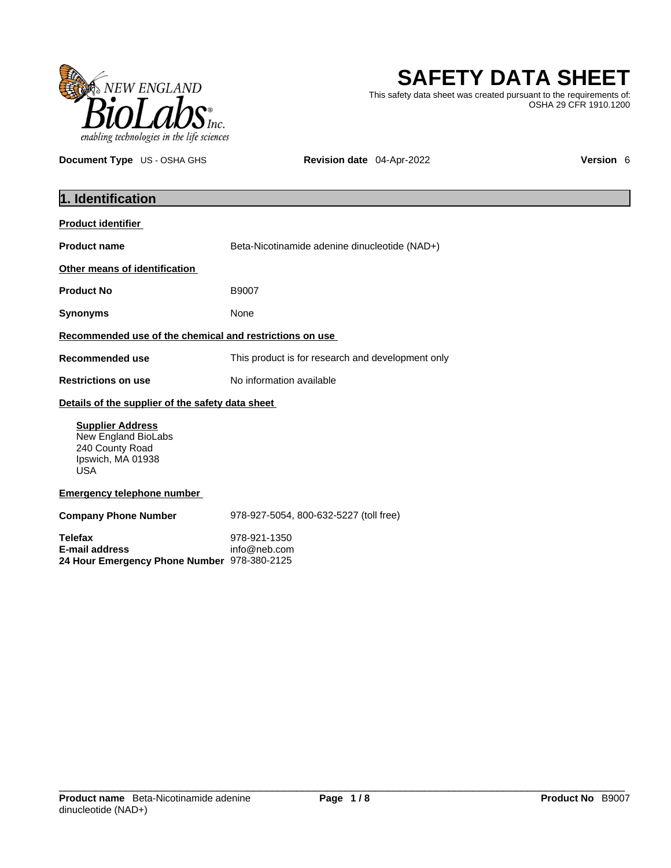

**SAFETY DATA SHEET**

This safety data sheet was created pursuant to the requirements of: OSHA 29 CFR 1910.1200

**Document Type** US - OSHA GHS **Revision date** 04-Apr-2022 **Version 6 Version 6** 

| 1. Identification                                                                                    |                                                   |  |
|------------------------------------------------------------------------------------------------------|---------------------------------------------------|--|
| <b>Product identifier</b>                                                                            |                                                   |  |
| <b>Product name</b>                                                                                  | Beta-Nicotinamide adenine dinucleotide (NAD+)     |  |
| Other means of identification                                                                        |                                                   |  |
| <b>Product No</b>                                                                                    | B9007                                             |  |
| <b>Synonyms</b>                                                                                      | None                                              |  |
| Recommended use of the chemical and restrictions on use                                              |                                                   |  |
| <b>Recommended use</b>                                                                               | This product is for research and development only |  |
| <b>Restrictions on use</b>                                                                           | No information available                          |  |
| Details of the supplier of the safety data sheet                                                     |                                                   |  |
| <b>Supplier Address</b><br>New England BioLabs<br>240 County Road<br>Ipswich, MA 01938<br><b>USA</b> |                                                   |  |
| <b>Emergency telephone number</b>                                                                    |                                                   |  |
| <b>Company Phone Number</b>                                                                          | 978-927-5054, 800-632-5227 (toll free)            |  |
| <b>Telefax</b><br><b>E-mail address</b><br>24 Hour Emergency Phone Number 978-380-2125               | 978-921-1350<br>info@neb.com                      |  |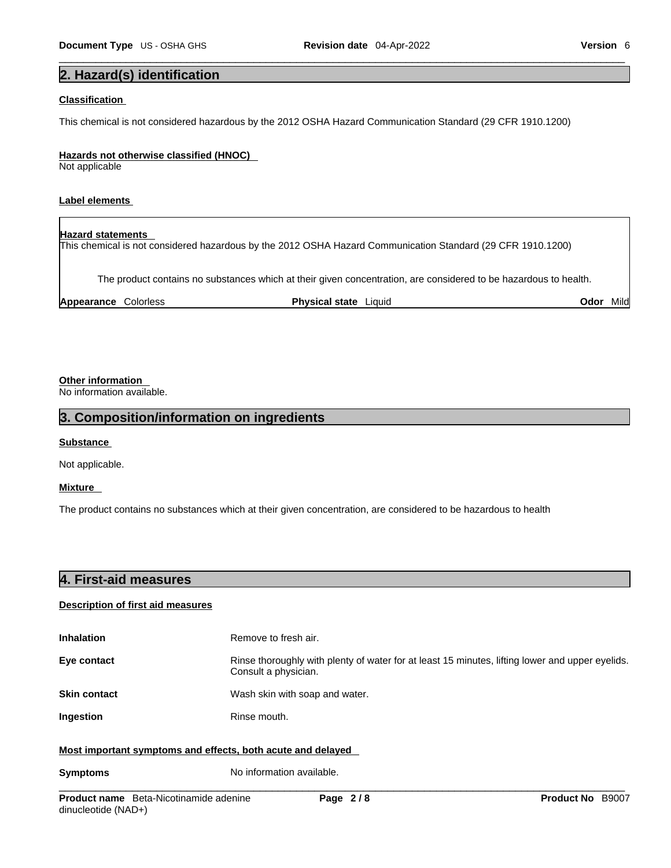# **2. Hazard(s) identification**

### **Classification**

This chemical is not considered hazardous by the 2012 OSHA Hazard Communication Standard (29 CFR 1910.1200)

#### **Hazards not otherwise classified (HNOC)**

Not applicable

### **Label elements**

## **Hazard statements**

This chemical is not considered hazardous by the 2012 OSHA Hazard Communication Standard (29 CFR 1910.1200)

The product contains no substances which at their given concentration, are considered to be hazardous to health.

| <b>Physical state</b><br><b>Appearance</b><br>Odo⊦<br>-iauic<br>Colorless | $\cdots$<br>Mild' |  |
|---------------------------------------------------------------------------|-------------------|--|
|---------------------------------------------------------------------------|-------------------|--|

## **Other information**

No information available.

## **3. Composition/information on ingredients**

### **Substance**

Not applicable.

### **Mixture**

The product contains no substances which at their given concentration, are considered to be hazardous to health

| 4. First-aid measures |  |  |
|-----------------------|--|--|
|                       |  |  |

### **Description of first aid measures**

| <b>Inhalation</b>                                           | Remove to fresh air.                                                                                                    |  |
|-------------------------------------------------------------|-------------------------------------------------------------------------------------------------------------------------|--|
| Eye contact                                                 | Rinse thoroughly with plenty of water for at least 15 minutes, lifting lower and upper eyelids.<br>Consult a physician. |  |
| <b>Skin contact</b>                                         | Wash skin with soap and water.                                                                                          |  |
| <b>Ingestion</b>                                            | Rinse mouth.                                                                                                            |  |
| Most important symptoms and effects, both acute and delayed |                                                                                                                         |  |

**Symptoms** No information available.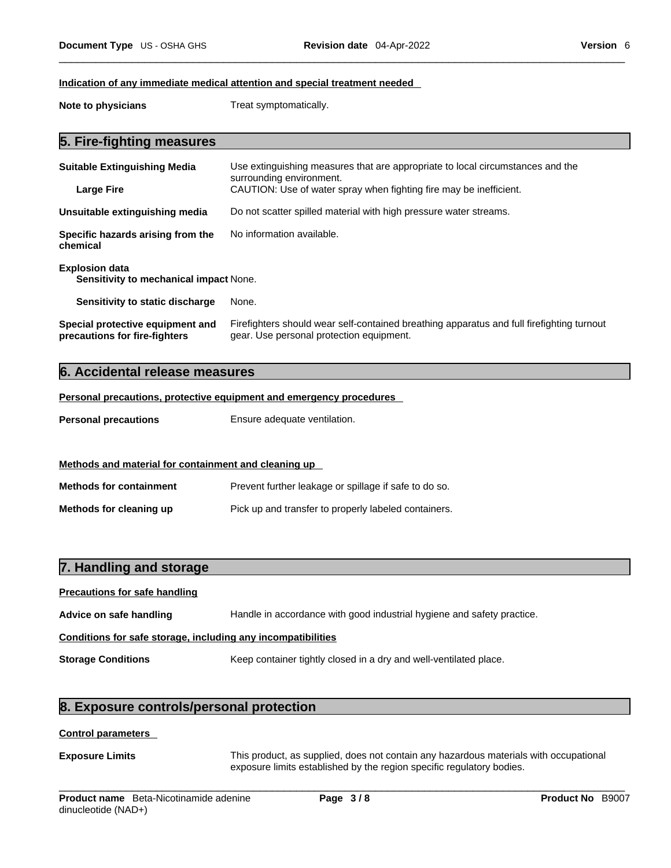#### **Indication of any immediate medical attention and special treatment needed**

**Note to physicians** Treat symptomatically.

# **5. Fire-fighting measures**

| <b>Suitable Extinguishing Media</b>                                    | Use extinguishing measures that are appropriate to local circumstances and the<br>surrounding environment.                            |  |
|------------------------------------------------------------------------|---------------------------------------------------------------------------------------------------------------------------------------|--|
| <b>Large Fire</b>                                                      | CAUTION: Use of water spray when fighting fire may be inefficient.                                                                    |  |
| Unsuitable extinguishing media                                         | Do not scatter spilled material with high pressure water streams.                                                                     |  |
| Specific hazards arising from the<br>chemical                          | No information available.                                                                                                             |  |
| <b>Explosion data</b><br><b>Sensitivity to mechanical impact None.</b> |                                                                                                                                       |  |
| Sensitivity to static discharge                                        | None.                                                                                                                                 |  |
| Special protective equipment and<br>precautions for fire-fighters      | Firefighters should wear self-contained breathing apparatus and full firefighting turnout<br>gear. Use personal protection equipment. |  |

### **6. Accidental release measures**

**Personal precautions, protective equipment and emergency procedures**

**Personal precautions** Ensure adequate ventilation.

### **Methods and material for containment and cleaning up**

**Methods for containment** Prevent further leakage or spillage if safe to do so. **Methods for cleaning up** Pick up and transfer to properly labeled containers.

## **7. Handling and storage**

# **Precautions for safe handling Advice on safe handling** Handle in accordance with good industrial hygiene and safety practice. **Conditions for safe storage, including any incompatibilities Storage Conditions** Keep container tightly closed in a dry and well-ventilated place.

# **8. Exposure controls/personal protection**

### **Control parameters**

**Exposure Limits** This product, as supplied, does not contain any hazardous materials with occupational exposure limits established by the region specific regulatory bodies.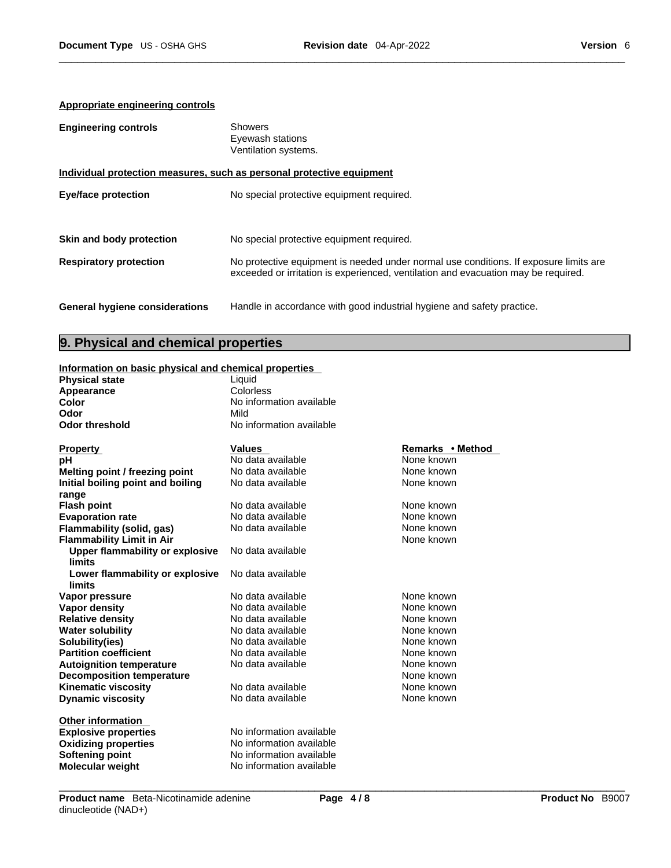## **Appropriate engineering controls**

| <b>Engineering controls</b>           | Showers<br>Eyewash stations<br>Ventilation systems.                                                                                                                         |
|---------------------------------------|-----------------------------------------------------------------------------------------------------------------------------------------------------------------------------|
|                                       | Individual protection measures, such as personal protective equipment                                                                                                       |
| <b>Eye/face protection</b>            | No special protective equipment required.                                                                                                                                   |
| Skin and body protection              | No special protective equipment required.                                                                                                                                   |
| <b>Respiratory protection</b>         | No protective equipment is needed under normal use conditions. If exposure limits are<br>exceeded or irritation is experienced, ventilation and evacuation may be required. |
| <b>General hygiene considerations</b> | Handle in accordance with good industrial hygiene and safety practice.                                                                                                      |

# **9. Physical and chemical properties**

### **Information on basic physical and chemical properties**

| <b>Physical state</b> | Liauid                   |
|-----------------------|--------------------------|
| Appearance            | Colorless                |
| Color                 | No information available |
| Odor                  | Mild                     |
| Odor threshold        | No information available |
|                       |                          |
|                       |                          |

| <b>Property</b>                   | Values                   | Remarks • Method |
|-----------------------------------|--------------------------|------------------|
| рH                                | No data available        | None known       |
| Melting point / freezing point    | No data available        | None known       |
| Initial boiling point and boiling | No data available        | None known       |
| range                             |                          |                  |
| <b>Flash point</b>                | No data available        | None known       |
| <b>Evaporation rate</b>           | No data available        | None known       |
| Flammability (solid, gas)         | No data available        | None known       |
| <b>Flammability Limit in Air</b>  |                          | None known       |
| Upper flammability or explosive   | No data available        |                  |
| limits                            |                          |                  |
| Lower flammability or explosive   | No data available        |                  |
| limits                            |                          |                  |
| Vapor pressure                    | No data available        | None known       |
| Vapor density                     | No data available        | None known       |
| <b>Relative density</b>           | No data available        | None known       |
| <b>Water solubility</b>           | No data available        | None known       |
| Solubility(ies)                   | No data available        | None known       |
| <b>Partition coefficient</b>      | No data available        | None known       |
| <b>Autoignition temperature</b>   | No data available        | None known       |
| <b>Decomposition temperature</b>  |                          | None known       |
| <b>Kinematic viscosity</b>        | No data available        | None known       |
| <b>Dynamic viscosity</b>          | No data available        | None known       |
| <b>Other information</b>          |                          |                  |
| <b>Explosive properties</b>       | No information available |                  |
| <b>Oxidizing properties</b>       | No information available |                  |
| <b>Softening point</b>            | No information available |                  |
| <b>Molecular weight</b>           | No information available |                  |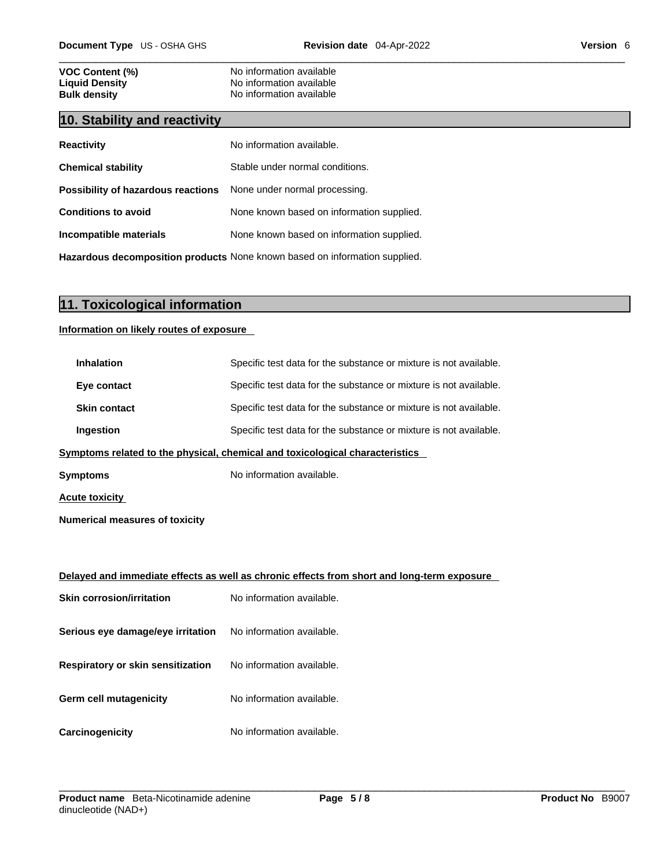# **VOC Content (%)**<br>
Liquid Density<br>
No information available<br>
No information available **Liquid Density Construction Available**<br> **Bulk density Discriming Construction and Available**<br>
No information available

# **10. Stability and reactivity**

| <b>Reactivity</b>                                                       | No information available.                 |
|-------------------------------------------------------------------------|-------------------------------------------|
| <b>Chemical stability</b>                                               | Stable under normal conditions.           |
| <b>Possibility of hazardous reactions</b> None under normal processing. |                                           |
| <b>Conditions to avoid</b>                                              | None known based on information supplied. |
| Incompatible materials                                                  | None known based on information supplied. |
|                                                                         |                                           |

**No information available** 

**Hazardous decomposition products** None known based on information supplied.

# **11. Toxicological information**

### **Information on likely routes of exposure**

| <b>Inhalation</b>                        | Specific test data for the substance or mixture is not available.                          |
|------------------------------------------|--------------------------------------------------------------------------------------------|
| Eye contact                              | Specific test data for the substance or mixture is not available.                          |
| <b>Skin contact</b>                      | Specific test data for the substance or mixture is not available.                          |
| Ingestion                                | Specific test data for the substance or mixture is not available.                          |
|                                          | Symptoms related to the physical, chemical and toxicological characteristics               |
| <b>Symptoms</b>                          | No information available.                                                                  |
| <b>Acute toxicity</b>                    |                                                                                            |
| <b>Numerical measures of toxicity</b>    |                                                                                            |
|                                          |                                                                                            |
|                                          | Delayed and immediate effects as well as chronic effects from short and long-term exposure |
| <b>Skin corrosion/irritation</b>         | No information available.                                                                  |
| Serious eye damage/eye irritation        | No information available.                                                                  |
| <b>Respiratory or skin sensitization</b> | No information available.                                                                  |
| Germ cell mutagenicity                   | No information available.                                                                  |
| Carcinogenicity                          | No information available.                                                                  |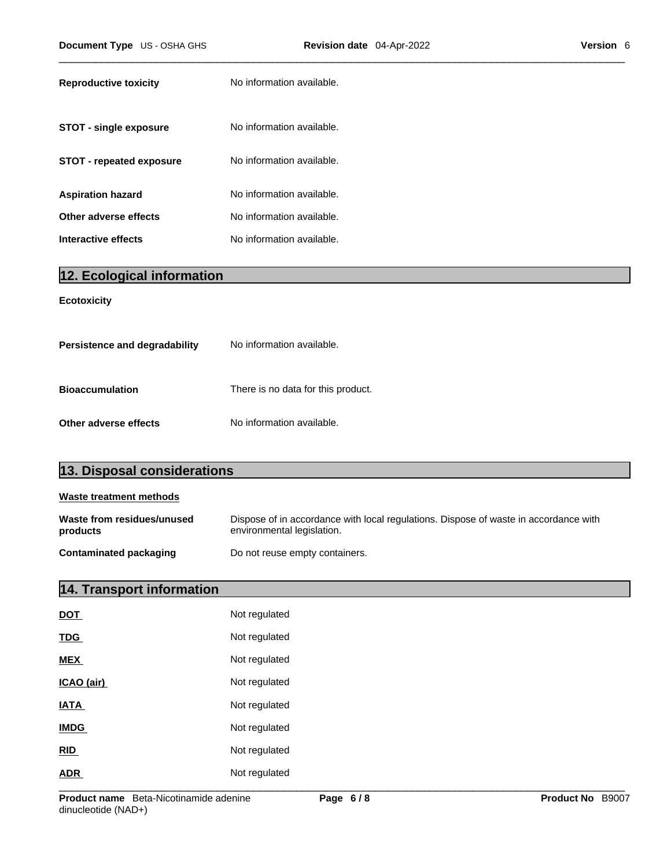| <b>Reproductive toxicity</b>    | No information available. |
|---------------------------------|---------------------------|
| <b>STOT - single exposure</b>   | No information available. |
| <b>STOT - repeated exposure</b> | No information available. |
| <b>Aspiration hazard</b>        | No information available. |
| Other adverse effects           | No information available. |
| Interactive effects             | No information available. |

# **12. Ecological information**

### **Ecotoxicity**

| Persistence and degradability | No information available.          |
|-------------------------------|------------------------------------|
| <b>Bioaccumulation</b>        | There is no data for this product. |
| Other adverse effects         | No information available.          |

| 13. Disposal considerations            |                                                                                                                    |
|----------------------------------------|--------------------------------------------------------------------------------------------------------------------|
| Waste treatment methods                |                                                                                                                    |
| Waste from residues/unused<br>products | Dispose of in accordance with local regulations. Dispose of waste in accordance with<br>environmental legislation. |

| <b>Contaminated packaging</b> | Do not reuse empty containers. |
|-------------------------------|--------------------------------|
|-------------------------------|--------------------------------|

# **14. Transport information**

| <b>DOT</b>  | Not regulated |
|-------------|---------------|
| <b>TDG</b>  | Not regulated |
| <b>MEX</b>  | Not regulated |
| ICAO (air)  | Not regulated |
| <b>IATA</b> | Not regulated |
| <b>IMDG</b> | Not regulated |
| RID         | Not regulated |
| <b>ADR</b>  | Not regulated |
|             |               |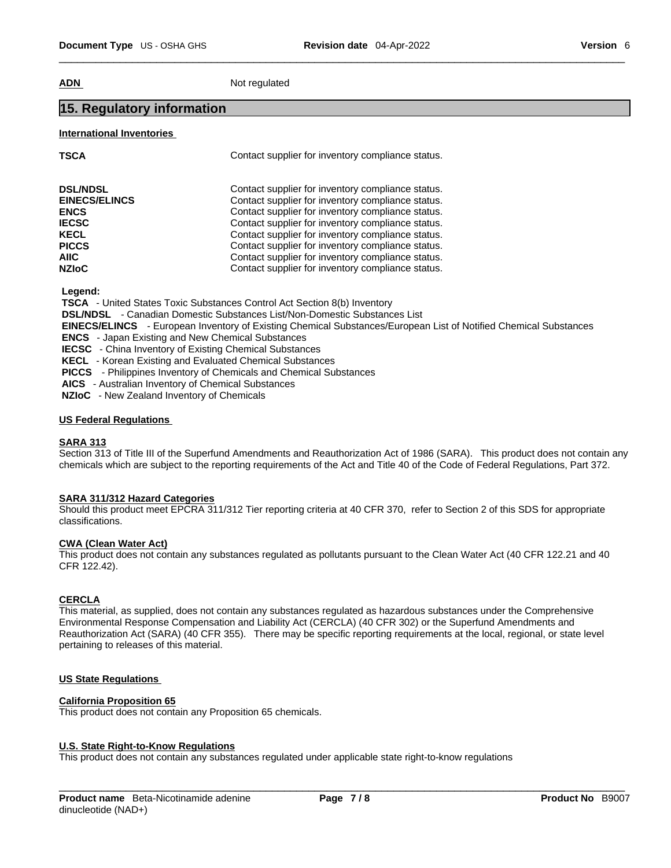**ADN** Not regulated

# **15. Regulatory information**

### **International Inventories**

| <b>TSCA</b>          | Contact supplier for inventory compliance status. |
|----------------------|---------------------------------------------------|
| <b>DSL/NDSL</b>      | Contact supplier for inventory compliance status. |
| <b>EINECS/ELINCS</b> | Contact supplier for inventory compliance status. |
| <b>ENCS</b>          | Contact supplier for inventory compliance status. |
| <b>IECSC</b>         | Contact supplier for inventory compliance status. |
| <b>KECL</b>          | Contact supplier for inventory compliance status. |
| <b>PICCS</b>         | Contact supplier for inventory compliance status. |
| <b>AIIC</b>          | Contact supplier for inventory compliance status. |
| <b>NZIoC</b>         | Contact supplier for inventory compliance status. |

 **Legend:** 

 **TSCA** - United States Toxic Substances Control Act Section 8(b) Inventory

 **DSL/NDSL** - Canadian Domestic Substances List/Non-Domestic Substances List

 **EINECS/ELINCS** - European Inventory of Existing Chemical Substances/European List of Notified Chemical Substances

 **ENCS** - Japan Existing and New Chemical Substances

 **IECSC** - China Inventory of Existing Chemical Substances

 **KECL** - Korean Existing and Evaluated Chemical Substances

 **PICCS** - Philippines Inventory of Chemicals and Chemical Substances

 **AICS** - Australian Inventory of Chemical Substances

 **NZIoC** - New Zealand Inventory of Chemicals

### **US Federal Regulations**

### **SARA 313**

Section 313 of Title III of the Superfund Amendments and Reauthorization Act of 1986 (SARA). This product does not contain any chemicals which are subject to the reporting requirements of the Act and Title 40 of the Code of Federal Regulations, Part 372.

### **SARA 311/312 Hazard Categories**

Should this product meet EPCRA 311/312 Tier reporting criteria at 40 CFR 370, refer to Section 2 of this SDS for appropriate classifications.

### **CWA (Clean WaterAct)**

This product does not contain any substances regulated as pollutants pursuant to the Clean Water Act (40 CFR 122.21 and 40 CFR 122.42).

### **CERCLA**

This material, as supplied, does not contain any substances regulated as hazardous substances under the Comprehensive Environmental Response Compensation and Liability Act (CERCLA) (40 CFR 302) or the Superfund Amendments and Reauthorization Act (SARA) (40 CFR 355). There may be specific reporting requirements at the local, regional, or state level pertaining to releases of this material.

### **US State Regulations**

### **California Proposition 65**

This product does not contain any Proposition 65 chemicals.

### **U.S. State Right-to-Know Regulations**

This product does not contain any substances regulated under applicable state right-to-know regulations